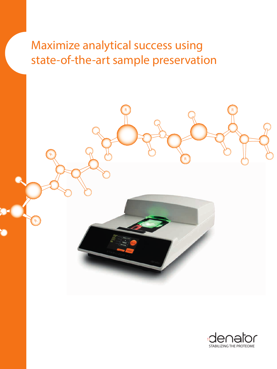Maximize analytical success using state-of-the-art sample preservation



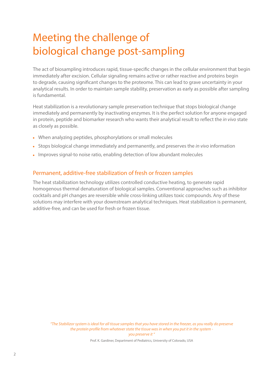# Meeting the challenge of biological change post-sampling

The act of biosampling introduces rapid, tissue-specific changes in the cellular environment that begin immediately after excision. Cellular signaling remains active or rather reactive and proteins begin to degrade, causing significant changes to the proteome. This can lead to grave uncertainty in your analytical results. In order to maintain sample stability, preservation as early as possible after sampling is fundamental.

Heat stabilization is a revolutionary sample preservation technique that stops biological change immediately and permanently by inactivating enzymes. It is the perfect solution for anyone engaged in protein, peptide and biomarker research who wants their analytical result to reflect the *in vivo* state as closely as possible.

- When analyzing peptides, phosphorylations or small molecules
- Stops biological change immediately and permanently, and preserves the *in vivo* information
- Improves signal-to noise ratio, enabling detection of low abundant molecules

### Permanent, additive-free stabilization of fresh or frozen samples

The heat stabilization technology utilizes controlled conductive heating, to generate rapid homogenous thermal denaturation of biological samples. Conventional approaches such as inhibitor cocktails and pH changes are reversible while cross-linking utilizes toxic compounds. Any of these solutions may interfere with your downstream analytical techniques. Heat stabilization is permanent, additive-free, and can be used for fresh or frozen tissue.

*"The Stabilizor system is ideal for all tissue samples that you have stored in the freezer, as you really do preserve the protein profile from whatever state the tissue was in when you put it in the system you preserve it "* 

Prof. K. Gardiner, Department of Pediatrics, University of Colorado, USA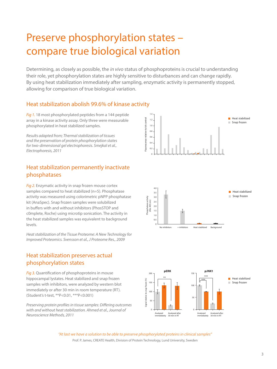# Preserve phosphorylation states – compare true biological variation

Determining, as closely as possible, the *in vivo* status of phosphoproteins is crucial to understanding their role, yet phosphorylation states are highly sensitive to disturbances and can change rapidly. By using heat stabilization immediately after sampling, enzymatic activity is permanently stopped, allowing for comparison of true biological variation.

### Heat stabilization abolish 99.6% of kinase activity

*Fig 1.* 18 most phosphorylated peptides from a 144 peptide array in a kinase activity assay. Only three were measurable phosphorylated in heat stabilized samples.

*Results adapted from; Thermal stabilization of tissues and the preservation of protein phosphorylation states for two-dimensional gel electrophoresis. Smejkal et al., Electrophoresis, 2011*

### Heat stabilization permanently inactivate phosphatases

*Fig 2.* Enzymatic activity in snap frozen mouse cortex samples compared to heat stabilized (n=5). Phosphatase activity was measured using colorimetric pNPP phosphatase kit (AnaSpec). Snap frozen samples were solubilized in buffers with and without inhibitors (PhosSTOP and c0mplete, Roche) using microtip sonication. The activity in the heat stabilized samples was equivalent to background levels.

*Heat stabilization of the Tissue Proteome: A New Technology for Improved Proteomics. Svensson et al., J Proteome Res., 2009*

### Heat stabilization preserves actual phosphorylation states

*Fig 3.* Quantification of phosphoproteins in mouse hippocampal lystates. Heat stabilized and snap frozen samples with inhibitors, were analyzed by western blot immediately or after 30 min in room temperature (RT). (Student's t-test, \*\*P<0.01, \*\*\*P<0.001)

*Preserving protein profiles in tissue samples: Differing outcomes with and without heat stabilization. Ahmed et al., Journal of Neuroscience Methods, 2011*





*"At last we have a solution to be able to preserve phosphorylated proteins in clinical samples"* Prof. P. James, CREATE Health, Division of Protein Technology, Lund University, Sweden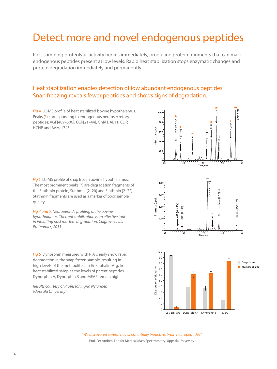## Detect more and novel endogenous peptides

Post-sampling proteolytic activity begins immediately, producing protein fragments that can mask endogenous peptides present at low levels. Rapid heat stabilization stops enzymatic changes and protein degradation immediately and permanently.

### Heat stabilization enables detection of low abundant endogenous peptides. Snap freezing reveals fewer peptides and shows signs of degradation.

*Fig 4.* LC-MS profile of heat stabilized bovine hypothalamus. Peaks (\*) corresponding to endogenous neurosecretory peptides; VGF[489–506], CCK[21–44], GnRH, AL11, CLIP, HCNP and BAM-1745.

*Fig 5.* LC-MS profile of snap frozen bovine hypothalamus. The most prominent peaks (\*) are degradation fragments of the Stathmin protein; Stathmin [2–20] and Stathmin [2–22]. Stathmin fragments are used as a marker of poor sample quality.

*Fig 4 and 5: Neuropeptide profiling of the bovine hypothalamus: Thermal stabilization is an effective tool in inhibiting post mortem degradation. Colgrave et al., Proteomics, 2011*

*Fig 6.* Dynorphin measured with RIA clearly show rapid degradation in the snap frozen sample, resulting in high levels of the metabolite Leu-Enkephalin-Arg. In heat stabilized samples the levels of parent peptides, Dynorphin A, Dynorphin B and MEAP remain high.

*Results courtesy of Professor Ingrid Nylander, (Uppsala University)*



*"We discovered several novel, potentially bioactive, brain neuropeptides"* Prof. Per Andrén, Lab for Medical Mass Spectrometry, Uppsala University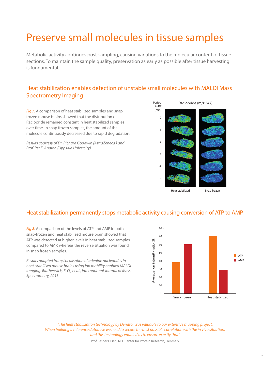## Preserve small molecules in tissue samples

Metabolic activity continues post-sampling, causing variations to the molecular content of tissue sections. To maintain the sample quality, preservation as early as possible after tissue harvesting is fundamental.

### Heat stabilization enables detection of unstable small molecules with MALDI Mass Spectrometry Imaging

*Fig 7.* A comparison of heat stabilized samples and snap frozen mouse brains showed that the distribution of Raclopride remained constant in heat stabilized samples over time. In snap frozen samples, the amount of the molecule continuously decreased due to rapid degradation.

*Results courtesy of Dr. Richard Goodwin (AstraZeneca ) and Prof. Per E. Andrén (Uppsala University).*



## Heat stabilization permanently stops metabolic activity causing conversion of ATP to AMP

*Fig 8.* A comparison of the levels of ATP and AMP in both snap-frozen and heat stabilized mouse brain showed that ATP was detected at higher levels in heat stabilized samples compared to AMP, whereas the reverse situation was found in snap frozen samples.

*Results adapted from; Localisation of adenine nucleotides in heat-stabilised mouse brains using ion mobility enabled MALDI imaging. Blatherwick, E. Q., et al., International Journal of Mass Spectrometry, 2013.*



*"The heat stabilization technology by Denator was valuable to our extensive mapping project. When building a reference database we need to secure the best possible correlation with the in vivo situation, and this technology enabled us to ensure exactly that"* 

Prof. Jesper Olsen, NFF Center for Protein Research, Denmark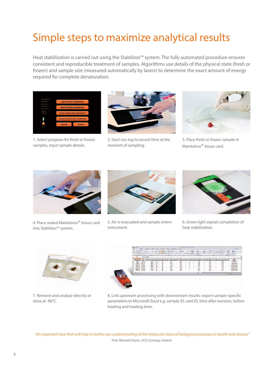# Simple steps to maximize analytical results

Heat stabilization is carried out using the Stabilizor™ system. The fully automated procedure ensures consistent and reproducible treatment of samples. Algorithms use details of the physical state (fresh or frozen) and sample size (measured automatically by lasers) to determine the exact amount of energy required for complete denaturation.



1. Select program for fresh or frozen samples, input sample details.



2. Start run-log to record time at the moment of sampling.



3. Place fresh or frozen sample in Maintainor® tissue card.



4. Place sealed Maintainor® tissue card into Stabilizor™ system.



5. Air is evacuated and sample enters instrument.



6. Green light signals completion of heat stabilization.



7. Remove and analyze directly or store at -80°C.



8. Link upstream processing with downstream results: export sample-specific parameters to Microsoft Excel *e.g*. sample ID, card ID, time after excision, before heating and heating time.

*" An important tool that will help to further our understanding of the molecular basis of biological processes in health and disease"* Prof. Michael Dunn, UCD Conway, Ireland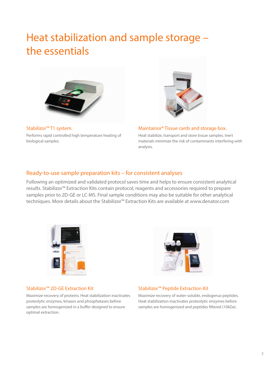## Heat stabilization and sample storage – the essentials



Stabilizor™ T1 system. Performs rapid controlled high temperature heating of biological samples.



#### Maintainor® Tissue cards and storage box.

Heat stabilize, transport and store tissue samples. Inert materials minimize the risk of contaminants interfering with analysis.

#### Ready-to-use sample preparation kits – for consistent analyses

Following an optimized and validated protocol saves time and helps to ensure consistent analytical results. Stabilizor™ Extraction Kits contain protocol, reagents and accessories required to prepare samples prior to 2D-GE or LC-MS. Final sample conditions may also be suitable for other analytical techniques. More details about the Stabilizor™ Extraction Kits are available at www.denator.com





#### Stabilizor™ 2D-GE Extraction Kit

Maximize recovery of proteins. Heat stabilization inactivates proteolytic enzymes, kinases and phosphatases before samples are homogenized in a buffer designed to ensure optimal extraction.

#### Stabilizor™ Peptide Extraction Kit

Maximize recovery of water-soluble, endogenus peptides. Heat stabilization inactivates proteolytic enzymes before samples are homogenized and peptides filtered (10kDa).